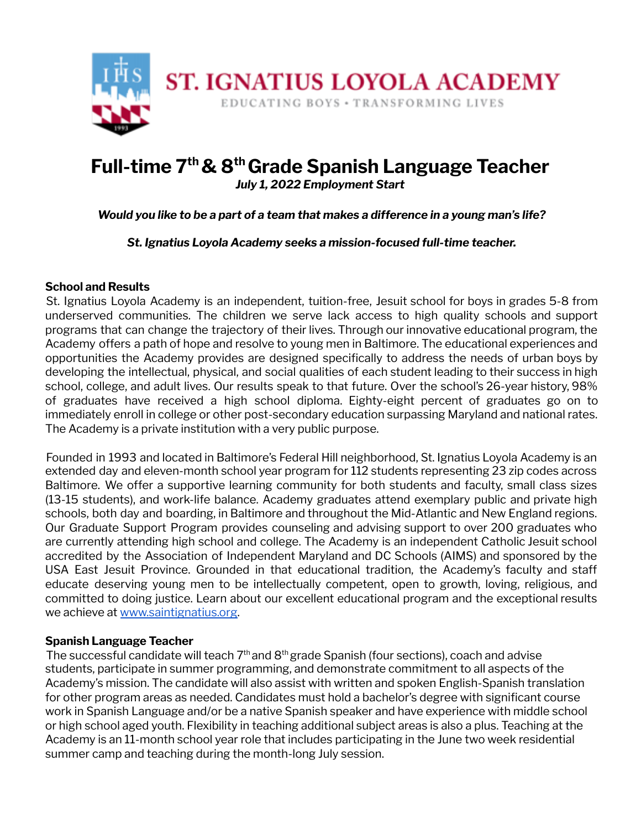

# **Full-time 7 th& 8 thGrade Spanish Language Teacher**

*July 1, 2022 Employment Start*

*Would you like to be a part of a team that makes a difference in a young man's life?*

*St. Ignatius Loyola Academy seeks a mission-focused full-time teacher.*

## **School and Results**

St. Ignatius Loyola Academy is an independent, tuition-free, Jesuit school for boys in grades 5-8 from underserved communities. The children we serve lack access to high quality schools and support programs that can change the trajectory of their lives. Through our innovative educational program, the Academy offers a path of hope and resolve to young men in Baltimore. The educational experiences and opportunities the Academy provides are designed specifically to address the needs of urban boys by developing the intellectual, physical, and social qualities of each student leading to their success in high school, college, and adult lives. Our results speak to that future. Over the school's 26-year history, 98% of graduates have received a high school diploma. Eighty-eight percent of graduates go on to immediately enroll in college or other post-secondary education surpassing Maryland and national rates. The Academy is a private institution with a very public purpose.

Founded in 1993 and located in Baltimore's Federal Hill neighborhood, St. Ignatius Loyola Academy is an extended day and eleven-month school year program for 112 students representing 23 zip codes across Baltimore. We offer a supportive learning community for both students and faculty, small class sizes (13-15 students), and work-life balance. Academy graduates attend exemplary public and private high schools, both day and boarding, in Baltimore and throughout the Mid-Atlantic and New England regions. Our Graduate Support Program provides counseling and advising support to over 200 graduates who are currently attending high school and college. The Academy is an independent Catholic Jesuit school accredited by the Association of Independent Maryland and DC Schools (AIMS) and sponsored by the USA East Jesuit Province. Grounded in that educational tradition, the Academy's faculty and staff educate deserving young men to be intellectually competent, open to growth, loving, religious, and committed to doing justice. Learn about our excellent educational program and the exceptional results we achieve at www.saintignatius.org.

## **Spanish Language Teacher**

The successful candidate will teach  $7<sup>th</sup>$  and  $8<sup>th</sup>$  grade Spanish (four sections), coach and advise students, participate in summer programming, and demonstrate commitment to all aspects of the Academy's mission. The candidate will also assist with written and spoken English-Spanish translation for other program areas as needed. Candidates must hold a bachelor's degree with significant course work in Spanish Language and/or be a native Spanish speaker and have experience with middle school or high school aged youth. Flexibility in teaching additional subject areas is also a plus. Teaching at the Academy is an 11-month school year role that includes participating in the June two week residential summer camp and teaching during the month-long July session.